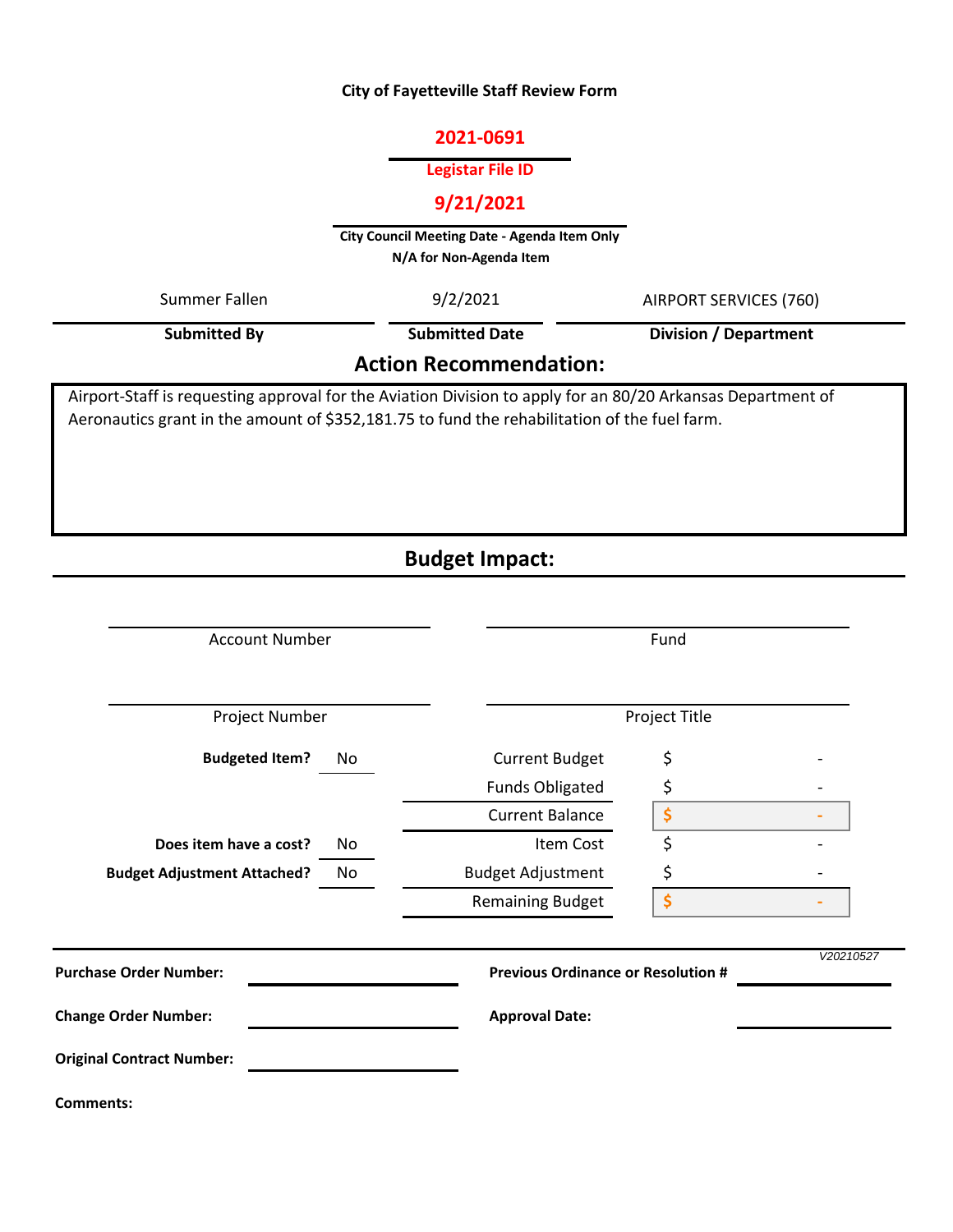#### **City of Fayetteville Staff Review Form**

#### **2021-0691**

#### **Legistar File ID**

# **9/21/2021**

**City Council Meeting Date - Agenda Item Only N/A for Non-Agenda Item** 

| Summer Fallen                                                                                               | 9/2/2021              | AIRPORT SERVICES (760)       |  |  |  |  |  |  |
|-------------------------------------------------------------------------------------------------------------|-----------------------|------------------------------|--|--|--|--|--|--|
| <b>Submitted By</b>                                                                                         | <b>Submitted Date</b> | <b>Division / Department</b> |  |  |  |  |  |  |
| <b>Action Recommendation:</b>                                                                               |                       |                              |  |  |  |  |  |  |
| Airport-Staff is requesting approval for the Aviation Division to apply for an 80/20 Arkansas Department of |                       |                              |  |  |  |  |  |  |

Aeronautics grant in the amount of \$352,181.75 to fund the rehabilitation of the fuel farm.

# **Budget Impact:**

|                                  | <b>Account Number</b>                          |                                           | Fund                           |           |  |  |  |  |
|----------------------------------|------------------------------------------------|-------------------------------------------|--------------------------------|-----------|--|--|--|--|
| Project Number                   |                                                | Project Title                             |                                |           |  |  |  |  |
| <b>Budgeted Item?</b>            | No                                             |                                           | \$                             |           |  |  |  |  |
|                                  |                                                | <b>Funds Obligated</b>                    | \$                             |           |  |  |  |  |
|                                  |                                                | <b>Current Balance</b>                    | \$                             |           |  |  |  |  |
| Does item have a cost?           | No<br><b>Budget Adjustment Attached?</b><br>No |                                           | \$                             |           |  |  |  |  |
|                                  |                                                |                                           | \$                             |           |  |  |  |  |
|                                  |                                                | <b>Remaining Budget</b>                   | $\dot{\boldsymbol{\varsigma}}$ |           |  |  |  |  |
| <b>Purchase Order Number:</b>    |                                                | <b>Previous Ordinance or Resolution #</b> |                                | V20210527 |  |  |  |  |
| <b>Change Order Number:</b>      |                                                | <b>Approval Date:</b>                     |                                |           |  |  |  |  |
| <b>Original Contract Number:</b> |                                                |                                           |                                |           |  |  |  |  |
| <b>Comments:</b>                 |                                                |                                           |                                |           |  |  |  |  |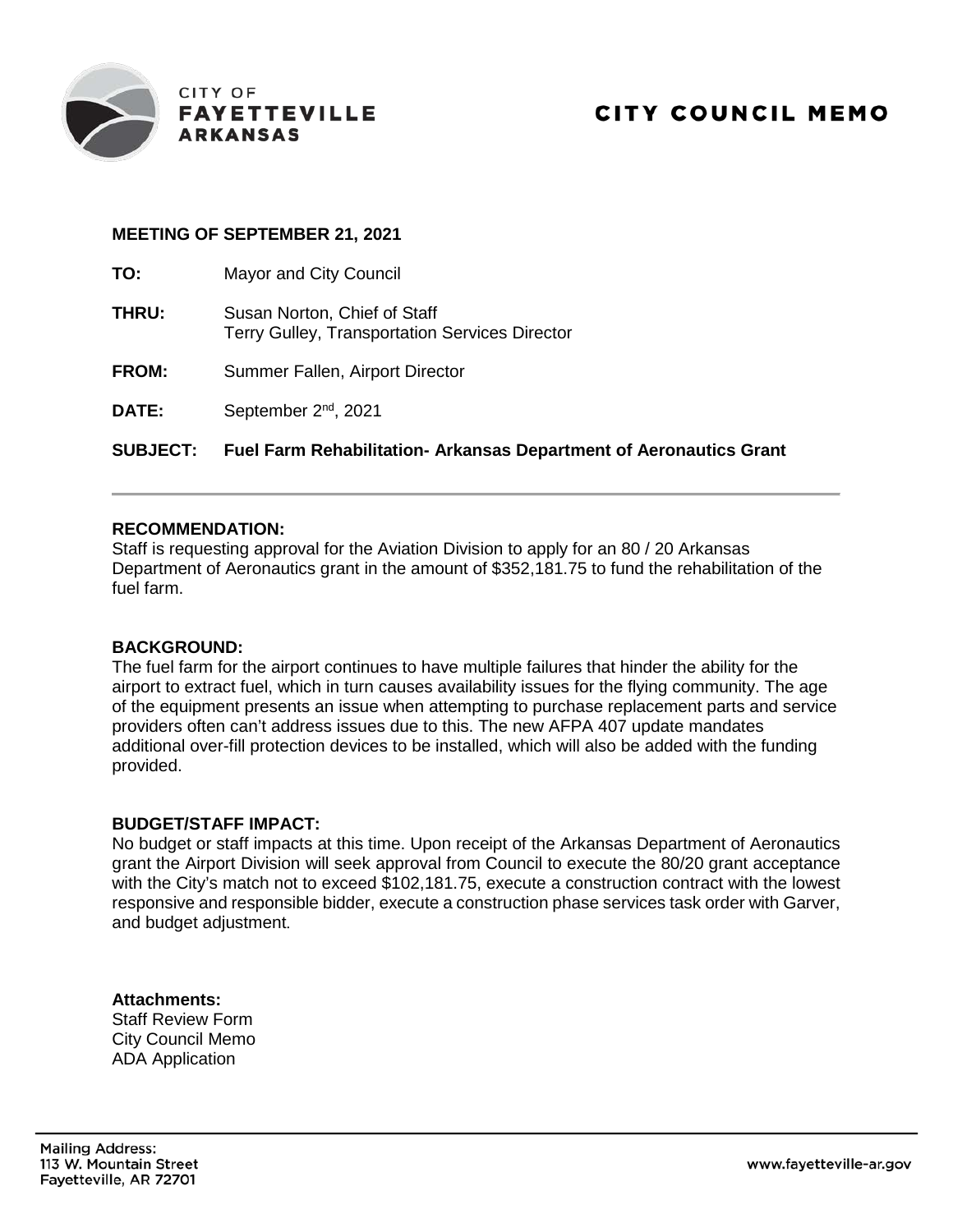

#### **MEETING OF SEPTEMBER 21, 2021**

| <b>SUBJECT:</b> | <b>Fuel Farm Rehabilitation- Arkansas Department of Aeronautics Grant</b>             |
|-----------------|---------------------------------------------------------------------------------------|
| <b>DATE:</b>    | September 2 <sup>nd</sup> , 2021                                                      |
| <b>FROM:</b>    | Summer Fallen, Airport Director                                                       |
| <b>THRU:</b>    | Susan Norton, Chief of Staff<br><b>Terry Gulley, Transportation Services Director</b> |
| TO:             | <b>Mayor and City Council</b>                                                         |

#### **RECOMMENDATION:**

Staff is requesting approval for the Aviation Division to apply for an 80 / 20 Arkansas Department of Aeronautics grant in the amount of \$352,181.75 to fund the rehabilitation of the fuel farm.

#### **BACKGROUND:**

The fuel farm for the airport continues to have multiple failures that hinder the ability for the airport to extract fuel, which in turn causes availability issues for the flying community. The age of the equipment presents an issue when attempting to purchase replacement parts and service providers often can't address issues due to this. The new AFPA 407 update mandates additional over-fill protection devices to be installed, which will also be added with the funding provided.

#### **BUDGET/STAFF IMPACT:**

No budget or staff impacts at this time. Upon receipt of the Arkansas Department of Aeronautics grant the Airport Division will seek approval from Council to execute the 80/20 grant acceptance with the City's match not to exceed \$102,181.75, execute a construction contract with the lowest responsive and responsible bidder, execute a construction phase services task order with Garver, and budget adjustment.

**Attachments:** Staff Review Form City Council Memo ADA Application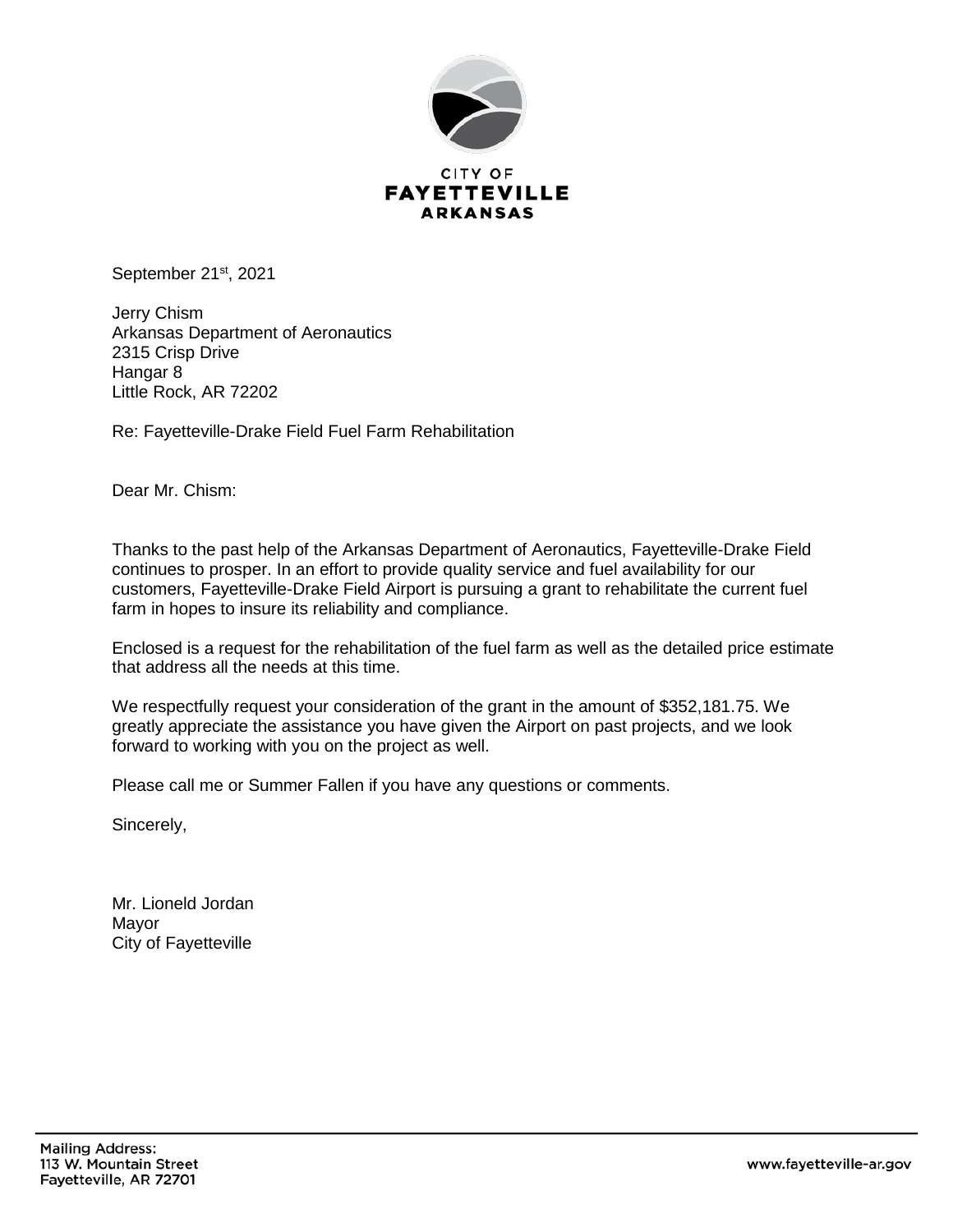

September 21<sup>st</sup>, 2021

Jerry Chism Arkansas Department of Aeronautics 2315 Crisp Drive Hangar 8 Little Rock, AR 72202

Re: Fayetteville-Drake Field Fuel Farm Rehabilitation

Dear Mr. Chism:

Thanks to the past help of the Arkansas Department of Aeronautics, Fayetteville-Drake Field continues to prosper. In an effort to provide quality service and fuel availability for our customers, Fayetteville-Drake Field Airport is pursuing a grant to rehabilitate the current fuel farm in hopes to insure its reliability and compliance.

Enclosed is a request for the rehabilitation of the fuel farm as well as the detailed price estimate that address all the needs at this time.

We respectfully request your consideration of the grant in the amount of \$352,181.75. We greatly appreciate the assistance you have given the Airport on past projects, and we look forward to working with you on the project as well.

Please call me or Summer Fallen if you have any questions or comments.

Sincerely,

Mr. Lioneld Jordan Mayor City of Fayetteville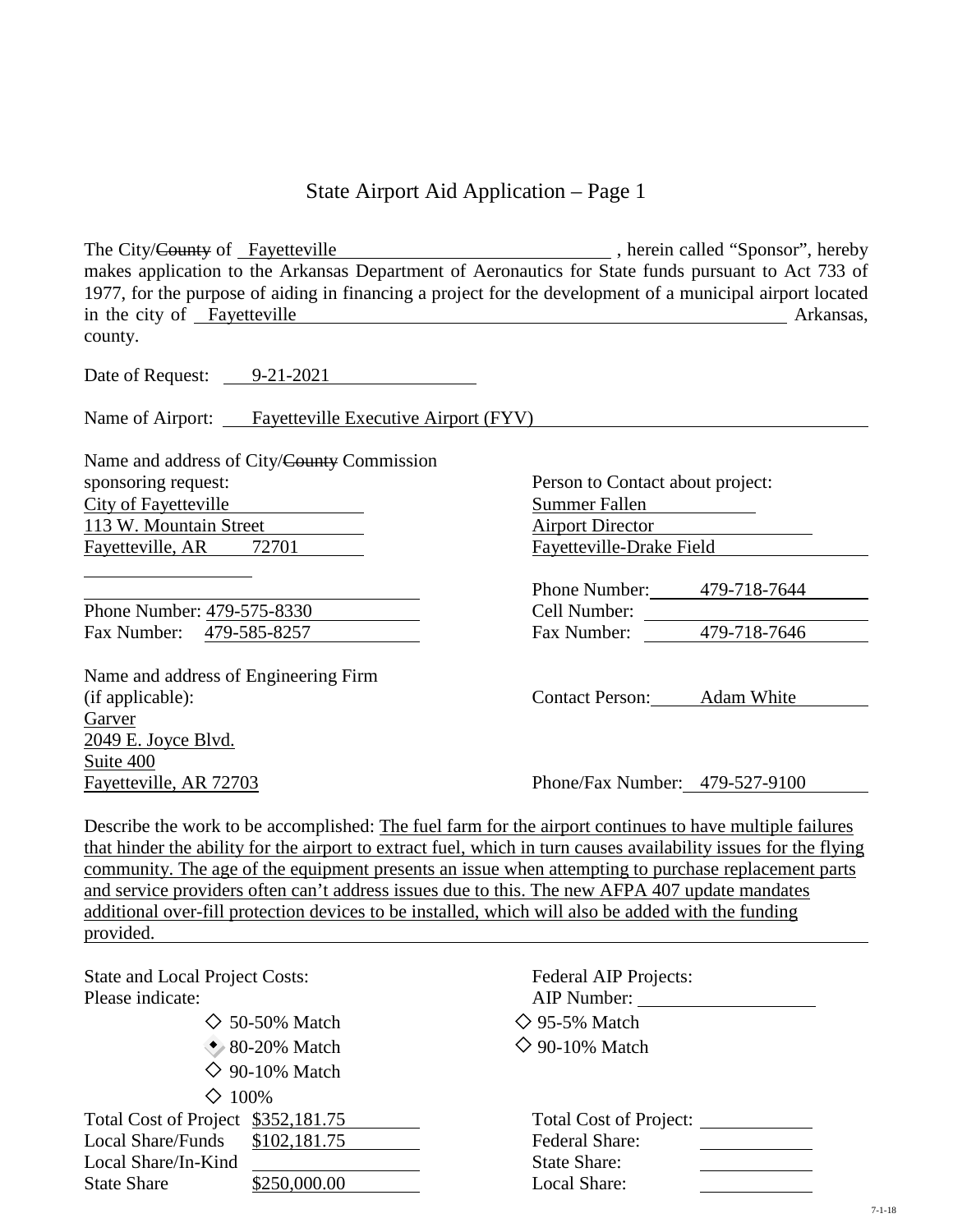## State Airport Aid Application – Page 1

The City/County of Fayetteville , herein called "Sponsor", hereby makes application to the Arkansas Department of Aeronautics for State funds pursuant to Act 733 of 1977, for the purpose of aiding in financing a project for the development of a municipal airport located in the city of Fayetteville Arkansas, county.

Date of Request:  $9-21-2021$ 

Name of Airport: Fayetteville Executive Airport (FYV)

Name and address of City/County Commission sponsoring request: Person to Contact about project: City of Fayetteville **Summer Fallen** 113 W. Mountain Street Airport Director Fayetteville, AR 72701 Fayetteville-Drake Field

Phone Number: 479-575-8330 Fax Number: 479-585-8257

Name and address of Engineering Firm (if applicable): Contact Person: Adam White Garver 2049 E. Joyce Blvd. Suite 400 Fayetteville, AR 72703 Phone/Fax Number: 479-527-9100

 $D_{\text{homo}}$  Number:  $470.719.7644$ 

| PHONE INITIDEL. | $419 - 110 - 1044$ |
|-----------------|--------------------|
| Cell Number:    |                    |
| Fax Number:     | 479-718-7646       |
|                 |                    |

Describe the work to be accomplished: The fuel farm for the airport continues to have multiple failures that hinder the ability for the airport to extract fuel, which in turn causes availability issues for the flying community. The age of the equipment presents an issue when attempting to purchase replacement parts and service providers often can't address issues due to this. The new AFPA 407 update mandates additional over-fill protection devices to be installed, which will also be added with the funding provided.

| <b>State and Local Project Costs:</b><br>Please indicate: | <b>Federal AIP Projects:</b><br>AIP Number: |
|-----------------------------------------------------------|---------------------------------------------|
| $\diamond$ 50-50% Match                                   | $\diamond$ 95-5% Match                      |
| $\bullet$ 80-20% Match                                    | $\Diamond$ 90-10% Match                     |
| $\Diamond$ 90-10% Match                                   |                                             |
| $\Diamond$ 100%                                           |                                             |
| Total Cost of Project \$352,181.75                        | <b>Total Cost of Project:</b>               |
| Local Share/Funds \$102,181.75                            | <b>Federal Share:</b>                       |
| Local Share/In-Kind                                       | <b>State Share:</b>                         |
| \$250,000.00<br><b>State Share</b>                        | Local Share:                                |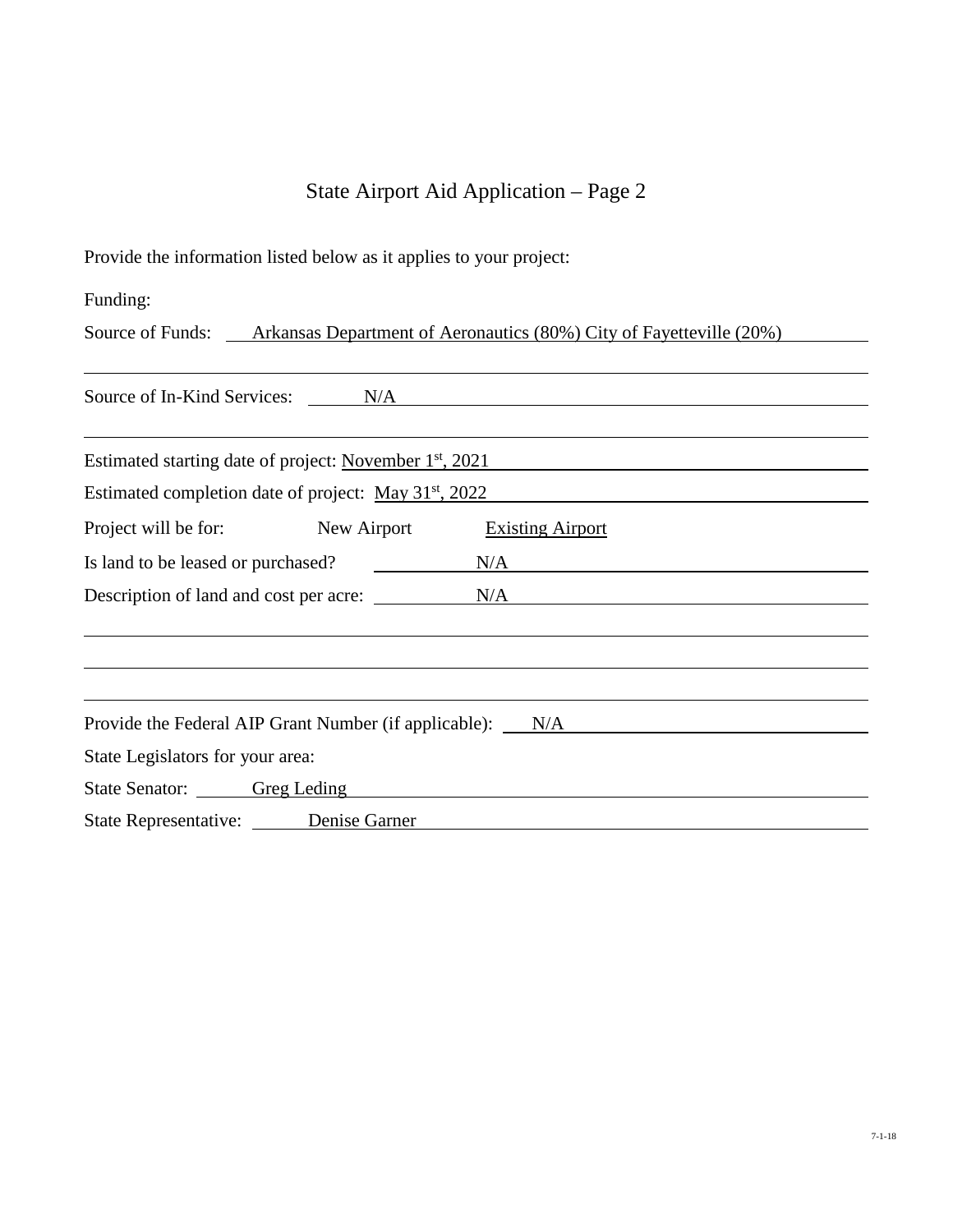# State Airport Aid Application – Page 2

Provide the information listed below as it applies to your project:

Funding:

Source of Funds: <u>Arkansas Department of Aeronautics (80%) City of Fayetteville (20%)</u>

| Source of In-Kind Services: N/A N/A                               |
|-------------------------------------------------------------------|
|                                                                   |
| Estimated starting date of project: November $1st$ , 2021         |
| Estimated completion date of project: May 31 <sup>st</sup> , 2022 |
| Project will be for: New Airport<br><b>Existing Airport</b>       |
| Is land to be leased or purchased? $N/A$                          |
| Description of land and cost per acre: N/A                        |
|                                                                   |
|                                                                   |
|                                                                   |
| Provide the Federal AIP Grant Number (if applicable): N/A         |
| State Legislators for your area:                                  |
| State Senator: Greg Leding                                        |
| State Representative: Denise Garner                               |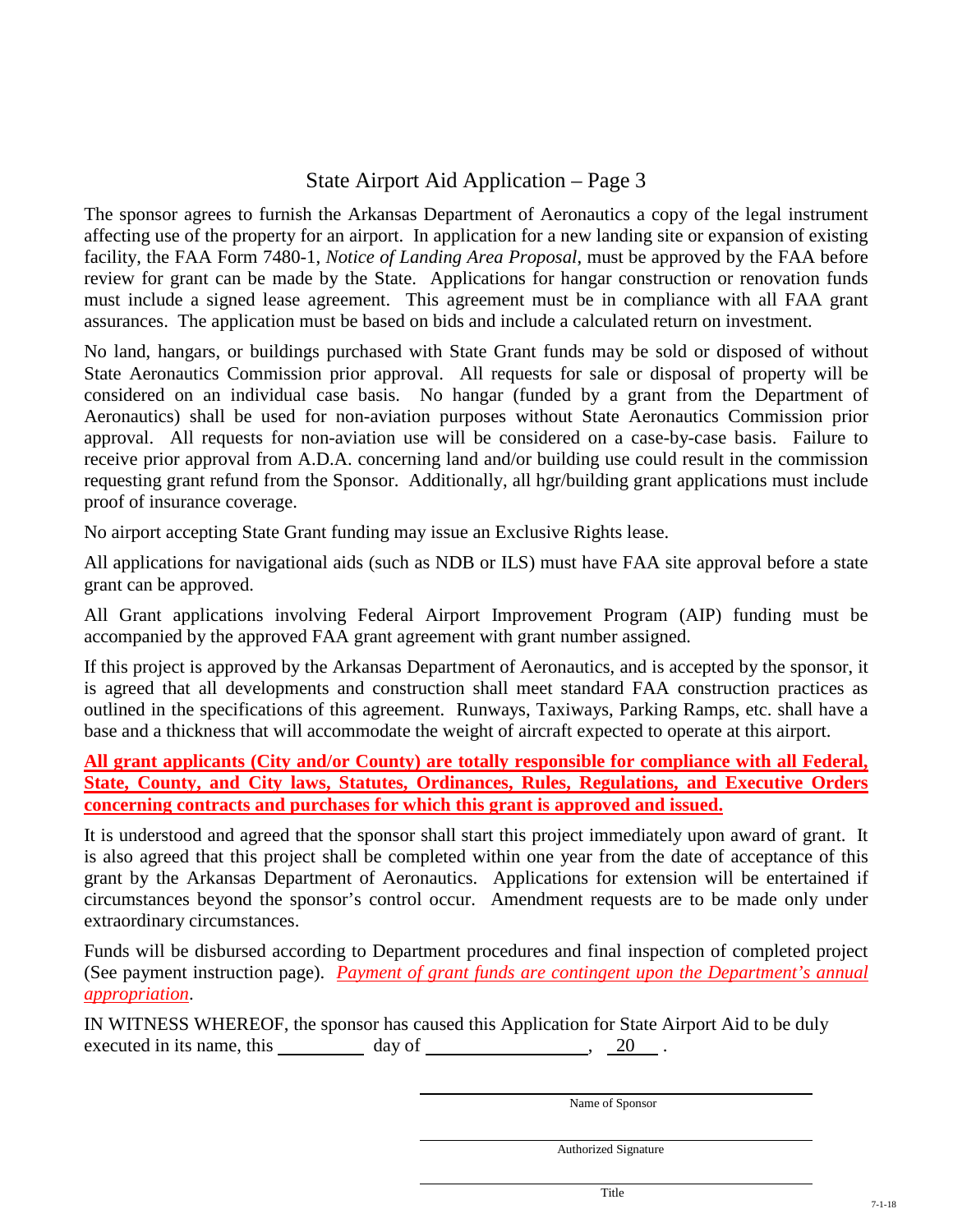# State Airport Aid Application – Page 3

The sponsor agrees to furnish the Arkansas Department of Aeronautics a copy of the legal instrument affecting use of the property for an airport. In application for a new landing site or expansion of existing facility, the FAA Form 7480-1, *Notice of Landing Area Proposal*, must be approved by the FAA before review for grant can be made by the State. Applications for hangar construction or renovation funds must include a signed lease agreement. This agreement must be in compliance with all FAA grant assurances. The application must be based on bids and include a calculated return on investment.

No land, hangars, or buildings purchased with State Grant funds may be sold or disposed of without State Aeronautics Commission prior approval. All requests for sale or disposal of property will be considered on an individual case basis. No hangar (funded by a grant from the Department of Aeronautics) shall be used for non-aviation purposes without State Aeronautics Commission prior approval. All requests for non-aviation use will be considered on a case-by-case basis. Failure to receive prior approval from A.D.A. concerning land and/or building use could result in the commission requesting grant refund from the Sponsor. Additionally, all hgr/building grant applications must include proof of insurance coverage.

No airport accepting State Grant funding may issue an Exclusive Rights lease.

All applications for navigational aids (such as NDB or ILS) must have FAA site approval before a state grant can be approved.

All Grant applications involving Federal Airport Improvement Program (AIP) funding must be accompanied by the approved FAA grant agreement with grant number assigned.

If this project is approved by the Arkansas Department of Aeronautics, and is accepted by the sponsor, it is agreed that all developments and construction shall meet standard FAA construction practices as outlined in the specifications of this agreement. Runways, Taxiways, Parking Ramps, etc. shall have a base and a thickness that will accommodate the weight of aircraft expected to operate at this airport.

**All grant applicants (City and/or County) are totally responsible for compliance with all Federal, State, County, and City laws, Statutes, Ordinances, Rules, Regulations, and Executive Orders concerning contracts and purchases for which this grant is approved and issued.**

It is understood and agreed that the sponsor shall start this project immediately upon award of grant. It is also agreed that this project shall be completed within one year from the date of acceptance of this grant by the Arkansas Department of Aeronautics. Applications for extension will be entertained if circumstances beyond the sponsor's control occur. Amendment requests are to be made only under extraordinary circumstances.

Funds will be disbursed according to Department procedures and final inspection of completed project (See payment instruction page). *Payment of grant funds are contingent upon the Department's annual appropriation*.

IN WITNESS WHEREOF, the sponsor has caused this Application for State Airport Aid to be duly executed in its name, this day of  $\frac{20}{100}$ .

Name of Sponsor

Authorized Signature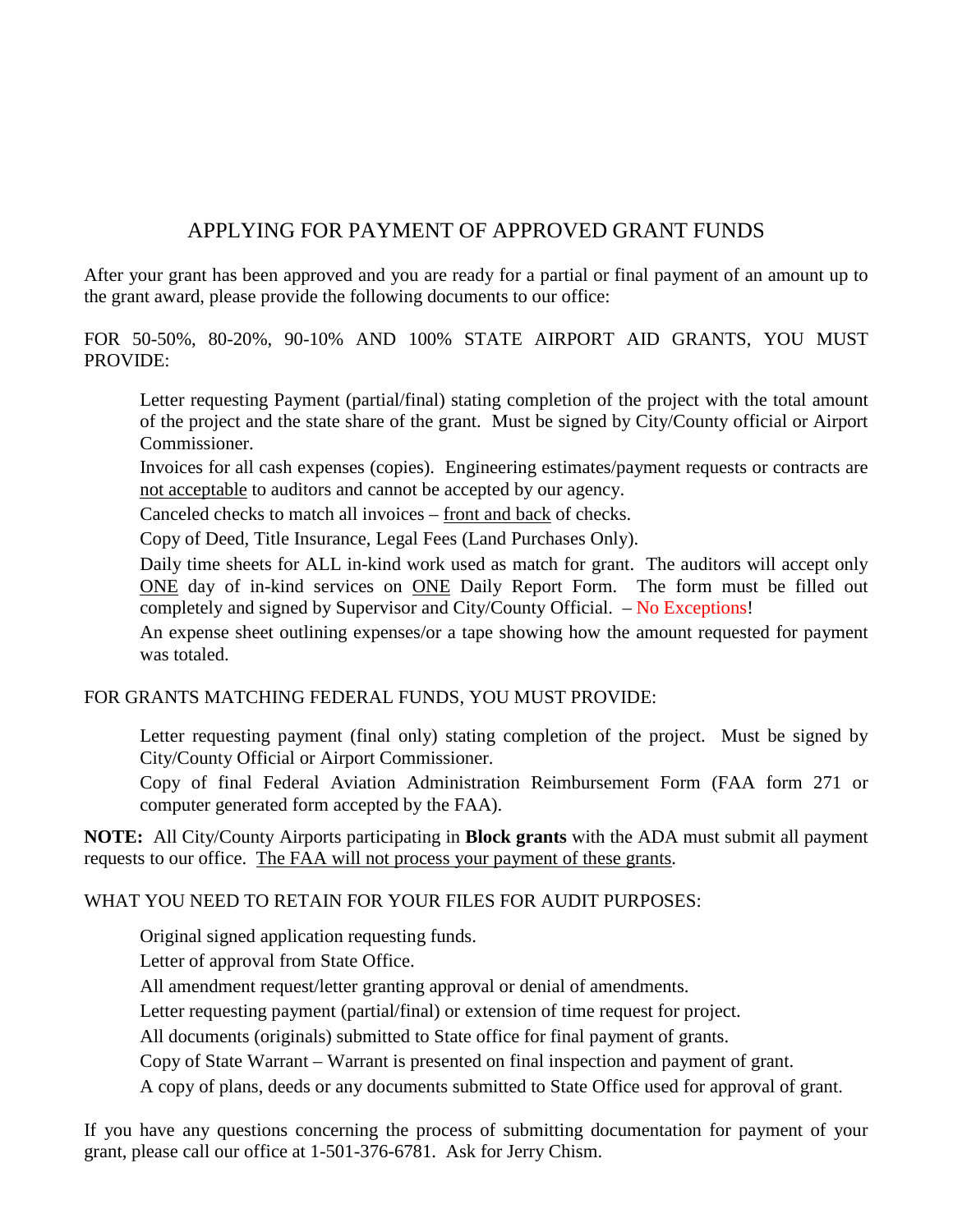# APPLYING FOR PAYMENT OF APPROVED GRANT FUNDS

After your grant has been approved and you are ready for a partial or final payment of an amount up to the grant award, please provide the following documents to our office:

FOR 50-50%, 80-20%, 90-10% AND 100% STATE AIRPORT AID GRANTS, YOU MUST PROVIDE:

 Letter requesting Payment (partial/final) stating completion of the project with the total amount of the project and the state share of the grant. Must be signed by City/County official or Airport Commissioner.

 Invoices for all cash expenses (copies). Engineering estimates/payment requests or contracts are not acceptable to auditors and cannot be accepted by our agency.

Canceled checks to match all invoices – front and back of checks.

Copy of Deed, Title Insurance, Legal Fees (Land Purchases Only).

 Daily time sheets for ALL in-kind work used as match for grant. The auditors will accept only ONE day of in-kind services on ONE Daily Report Form. The form must be filled out completely and signed by Supervisor and City/County Official. – No Exceptions!

 An expense sheet outlining expenses/or a tape showing how the amount requested for payment was totaled.

FOR GRANTS MATCHING FEDERAL FUNDS, YOU MUST PROVIDE:

 Letter requesting payment (final only) stating completion of the project. Must be signed by City/County Official or Airport Commissioner.

 Copy of final Federal Aviation Administration Reimbursement Form (FAA form 271 or computer generated form accepted by the FAA).

**NOTE:** All City/County Airports participating in **Block grants** with the ADA must submit all payment requests to our office. The FAA will not process your payment of these grants.

#### WHAT YOU NEED TO RETAIN FOR YOUR FILES FOR AUDIT PURPOSES:

Original signed application requesting funds.

Letter of approval from State Office.

All amendment request/letter granting approval or denial of amendments.

Letter requesting payment (partial/final) or extension of time request for project.

All documents (originals) submitted to State office for final payment of grants.

Copy of State Warrant – Warrant is presented on final inspection and payment of grant.

A copy of plans, deeds or any documents submitted to State Office used for approval of grant.

If you have any questions concerning the process of submitting documentation for payment of your grant, please call our office at 1-501-376-6781. Ask for Jerry Chism.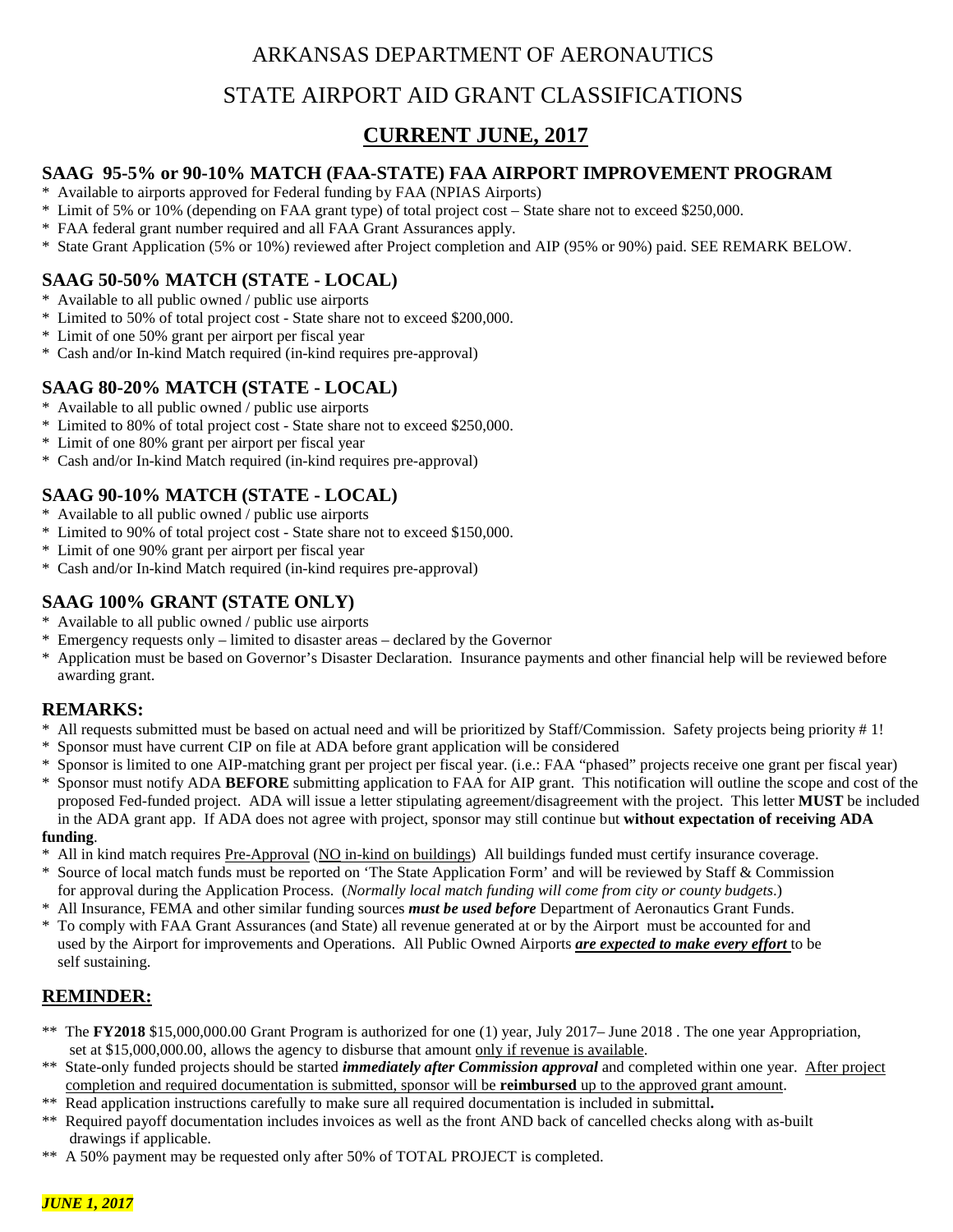# ARKANSAS DEPARTMENT OF AERONAUTICS

# STATE AIRPORT AID GRANT CLASSIFICATIONS

# **CURRENT JUNE, 2017**

#### **SAAG 95-5% or 90-10% MATCH (FAA-STATE) FAA AIRPORT IMPROVEMENT PROGRAM**

- \* Available to airports approved for Federal funding by FAA (NPIAS Airports)
- \* Limit of 5% or 10% (depending on FAA grant type) of total project cost State share not to exceed \$250,000.
- \* FAA federal grant number required and all FAA Grant Assurances apply.
- \* State Grant Application (5% or 10%) reviewed after Project completion and AIP (95% or 90%) paid. SEE REMARK BELOW.

## **SAAG 50-50% MATCH (STATE - LOCAL)**

- \* Available to all public owned / public use airports
- \* Limited to 50% of total project cost State share not to exceed \$200,000.
- \* Limit of one 50% grant per airport per fiscal year
- \* Cash and/or In-kind Match required (in-kind requires pre-approval)

#### **SAAG 80-20% MATCH (STATE - LOCAL)**

- \* Available to all public owned / public use airports
- \* Limited to 80% of total project cost State share not to exceed \$250,000.
- \* Limit of one 80% grant per airport per fiscal year
- \* Cash and/or In-kind Match required (in-kind requires pre-approval)

## **SAAG 90-10% MATCH (STATE - LOCAL)**

- \* Available to all public owned / public use airports
- \* Limited to 90% of total project cost State share not to exceed \$150,000.
- \* Limit of one 90% grant per airport per fiscal year
- \* Cash and/or In-kind Match required (in-kind requires pre-approval)

## **SAAG 100% GRANT (STATE ONLY)**

- Available to all public owned / public use airports
- \* Emergency requests only limited to disaster areas declared by the Governor
- Application must be based on Governor's Disaster Declaration. Insurance payments and other financial help will be reviewed before awarding grant.

## **REMARKS:**

- \* All requests submitted must be based on actual need and will be prioritized by Staff/Commission. Safety projects being priority # 1!
- Sponsor must have current CIP on file at ADA before grant application will be considered
- \* Sponsor is limited to one AIP-matching grant per project per fiscal year. (i.e.: FAA "phased" projects receive one grant per fiscal year)
- Sponsor must notify ADA **BEFORE** submitting application to FAA for AIP grant. This notification will outline the scope and cost of the proposed Fed-funded project. ADA will issue a letter stipulating agreement/disagreement with the project. This letter **MUST** be included in the ADA grant app. If ADA does not agree with project, sponsor may still continue but **without expectation of receiving ADA**

#### **funding**.

- All in kind match requires Pre-Approval (NO in-kind on buildings) All buildings funded must certify insurance coverage.
- \* Source of local match funds must be reported on 'The State Application Form' and will be reviewed by Staff & Commission for approval during the Application Process. (*Normally local match funding will come from city or county budgets*.)
- \* All Insurance, FEMA and other similar funding sources *must be used before* Department of Aeronautics Grant Funds.
- \* To comply with FAA Grant Assurances (and State) all revenue generated at or by the Airport must be accounted for and used by the Airport for improvements and Operations. All Public Owned Airports *are expected to make every effort* to be self sustaining.

# **REMINDER:**

- \*\* The **FY2018** \$15,000,000.00 Grant Program is authorized for one (1) year, July 2017– June 2018 . The one year Appropriation, set at \$15,000,000.00, allows the agency to disburse that amount only if revenue is available.
- \*\* State-only funded projects should be started *immediately after Commission approval* and completed within one year. After project completion and required documentation is submitted, sponsor will be **reimbursed** up to the approved grant amount.<br><sup>\*\*</sup> Read application instructions carefully to make sure all required documentation is included in submitta
- \*\* Read application instructions carefully to make sure all required documentation is included in submittal**.**
- \*\* Required payoff documentation includes invoices as well as the front AND back of cancelled checks along with as-built drawings if applicable.
- \*\* A 50% payment may be requested only after 50% of TOTAL PROJECT is completed.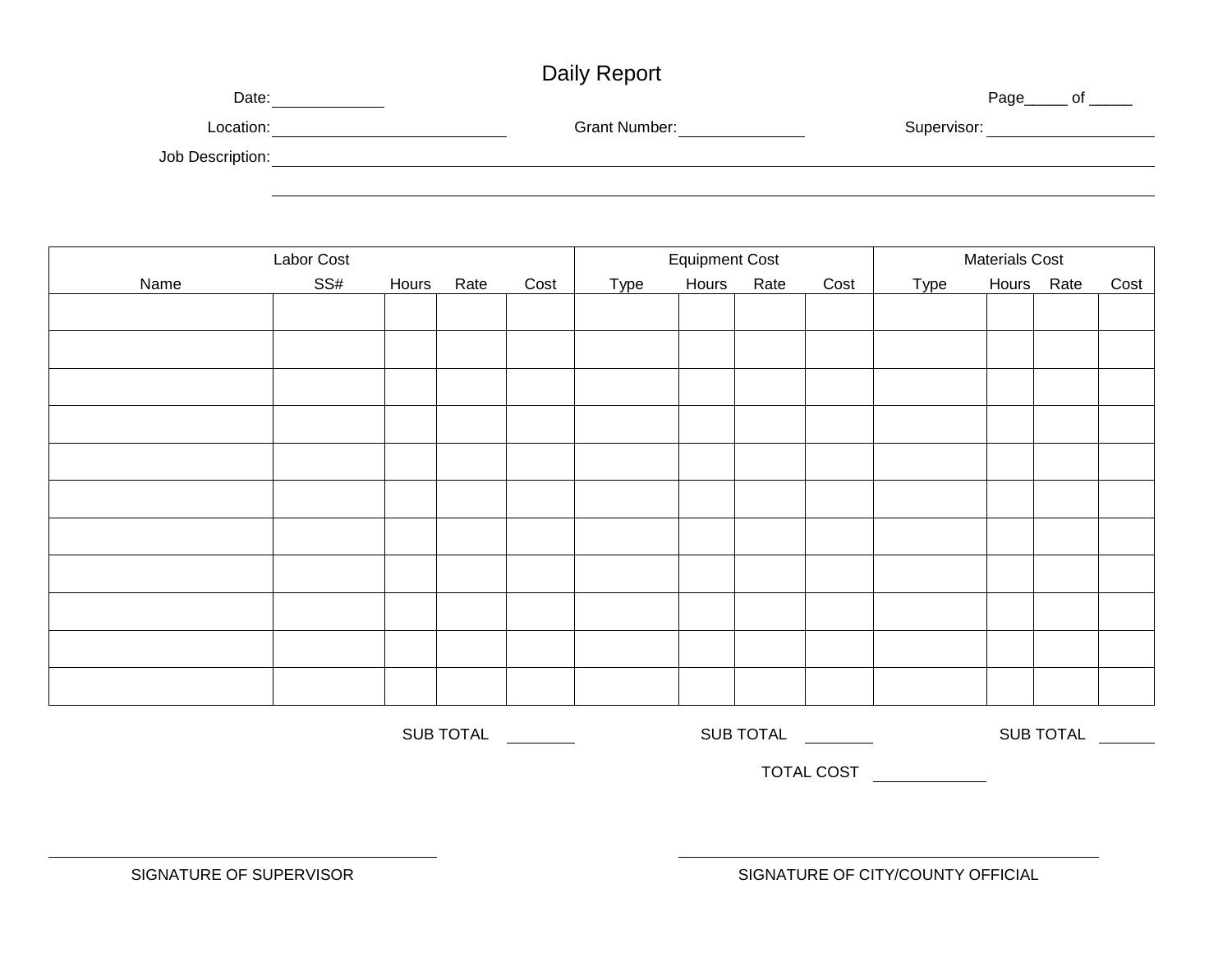# Daily Report

| Date:            |               | Page<br>Ωt  |
|------------------|---------------|-------------|
| Location:        | Grant Number: | Supervisor: |
| Job Description: |               |             |
|                  |               |             |

| Labor Cost |     |       |                  | <b>Equipment Cost</b> |      |       |                  | <b>Materials Cost</b> |      |  |                  |      |
|------------|-----|-------|------------------|-----------------------|------|-------|------------------|-----------------------|------|--|------------------|------|
| Name       | SS# | Hours | Rate             | Cost                  | Type | Hours | Rate             | Cost                  | Type |  | Hours Rate       | Cost |
|            |     |       |                  |                       |      |       |                  |                       |      |  |                  |      |
|            |     |       |                  |                       |      |       |                  |                       |      |  |                  |      |
|            |     |       |                  |                       |      |       |                  |                       |      |  |                  |      |
|            |     |       |                  |                       |      |       |                  |                       |      |  |                  |      |
|            |     |       |                  |                       |      |       |                  |                       |      |  |                  |      |
|            |     |       |                  |                       |      |       |                  |                       |      |  |                  |      |
|            |     |       |                  |                       |      |       |                  |                       |      |  |                  |      |
|            |     |       |                  |                       |      |       |                  |                       |      |  |                  |      |
|            |     |       |                  |                       |      |       |                  |                       |      |  |                  |      |
|            |     |       |                  |                       |      |       |                  |                       |      |  |                  |      |
|            |     |       |                  |                       |      |       |                  |                       |      |  |                  |      |
|            |     |       | <b>SUB TOTAL</b> |                       |      |       | <b>SUB TOTAL</b> |                       |      |  | <b>SUB TOTAL</b> |      |

TOTAL COST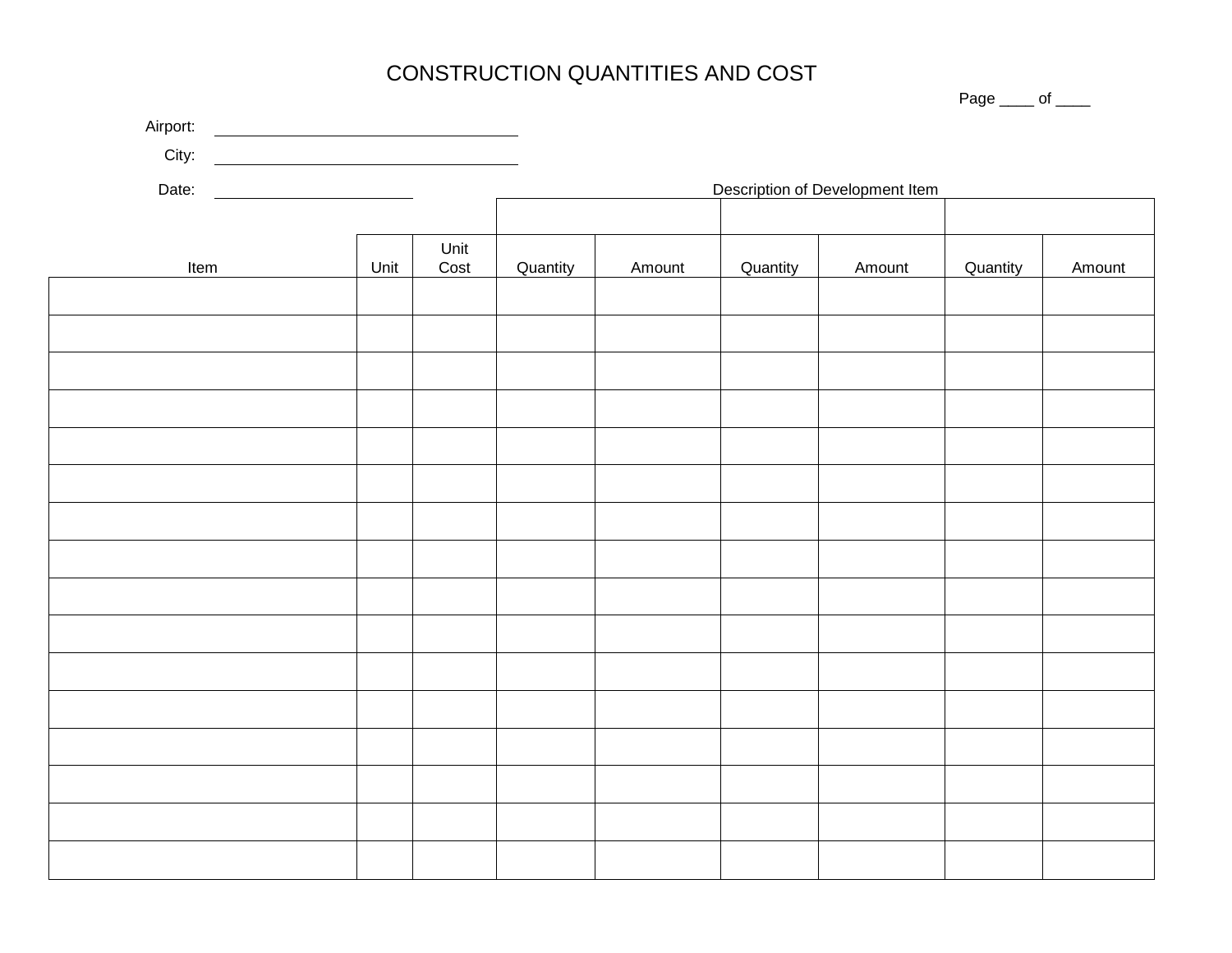# CONSTRUCTION QUANTITIES AND COST

|       | City: |                                 |          |        |          |        |          |        |  |
|-------|-------|---------------------------------|----------|--------|----------|--------|----------|--------|--|
| Date: |       | Description of Development Item |          |        |          |        |          |        |  |
|       |       |                                 |          |        |          |        |          |        |  |
| Item  | Unit  | Unit<br>Cost                    | Quantity | Amount | Quantity | Amount | Quantity | Amount |  |
|       |       |                                 |          |        |          |        |          |        |  |
|       |       |                                 |          |        |          |        |          |        |  |
|       |       |                                 |          |        |          |        |          |        |  |
|       |       |                                 |          |        |          |        |          |        |  |
|       |       |                                 |          |        |          |        |          |        |  |
|       |       |                                 |          |        |          |        |          |        |  |
|       |       |                                 |          |        |          |        |          |        |  |
|       |       |                                 |          |        |          |        |          |        |  |
|       |       |                                 |          |        |          |        |          |        |  |
|       |       |                                 |          |        |          |        |          |        |  |
|       |       |                                 |          |        |          |        |          |        |  |
|       |       |                                 |          |        |          |        |          |        |  |
|       |       |                                 |          |        |          |        |          |        |  |
|       |       |                                 |          |        |          |        |          |        |  |
|       |       |                                 |          |        |          |        |          |        |  |
|       |       |                                 |          |        |          |        |          |        |  |

Page \_\_\_\_ of \_\_\_\_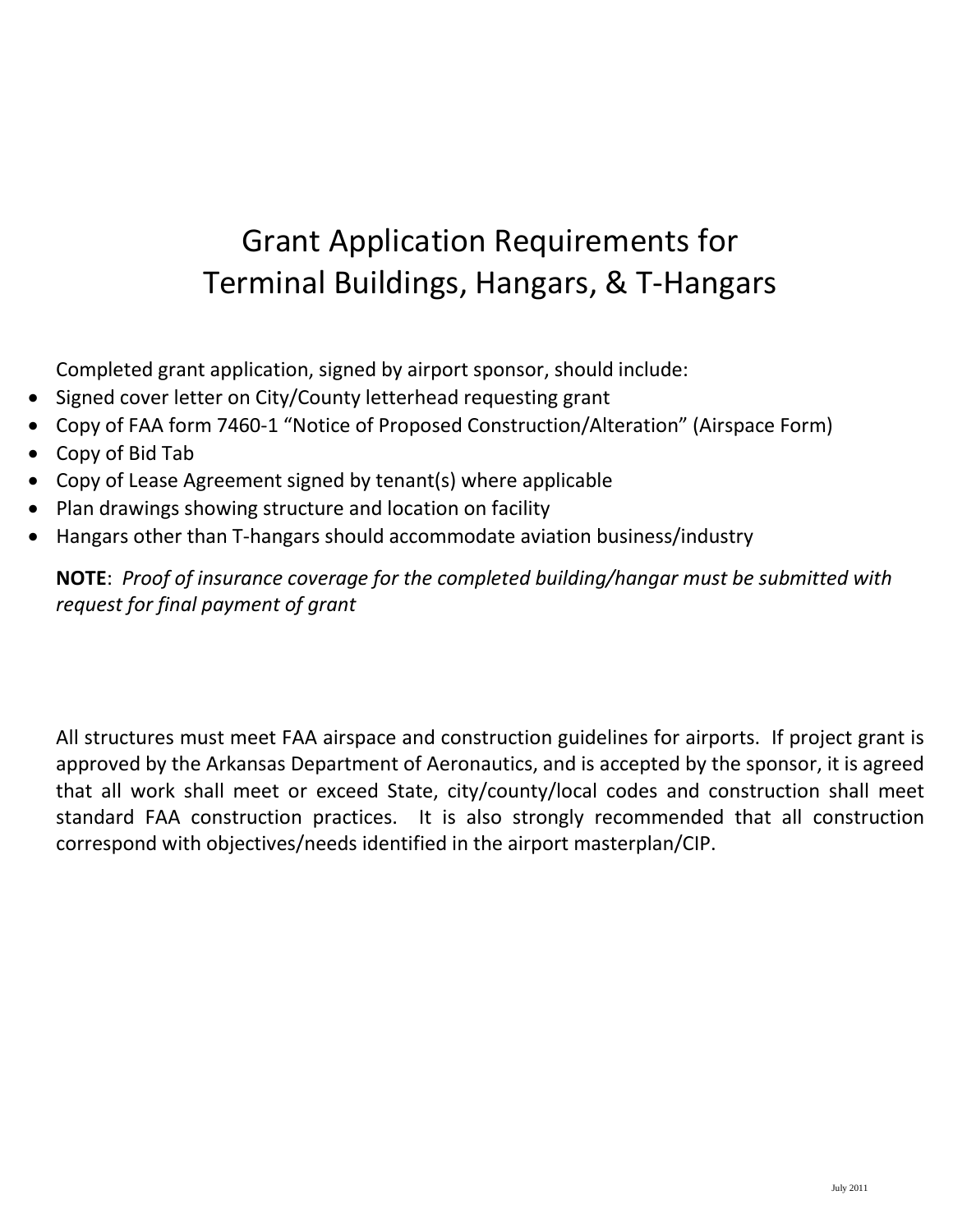# Grant Application Requirements for Terminal Buildings, Hangars, & T-Hangars

Completed grant application, signed by airport sponsor, should include:

- Signed cover letter on City/County letterhead requesting grant
- Copy of FAA form 7460-1 "Notice of Proposed Construction/Alteration" (Airspace Form)
- Copy of Bid Tab
- Copy of Lease Agreement signed by tenant(s) where applicable
- Plan drawings showing structure and location on facility
- Hangars other than T-hangars should accommodate aviation business/industry

**NOTE**: *Proof of insurance coverage for the completed building/hangar must be submitted with request for final payment of grant*

All structures must meet FAA airspace and construction guidelines for airports. If project grant is approved by the Arkansas Department of Aeronautics, and is accepted by the sponsor, it is agreed that all work shall meet or exceed State, city/county/local codes and construction shall meet standard FAA construction practices. It is also strongly recommended that all construction correspond with objectives/needs identified in the airport masterplan/CIP.